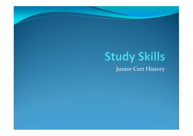## **Study Skills** Junior Cert History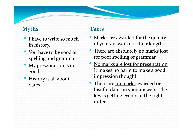#### **Myths**

- $\bullet$  I have to write so much in history.
- You have to be good at spelling and grammar.
- My presentation is not good.
- $\bullet$  History is all about dates.

#### **Facts**

- Marks are awarded for the quality of your answers not their length.
- There are absolutely no marks lost for poor spelling or grammar
- No marks are lost for presentation. It makes no harm to make a good impression though!!
- There are <u>no marks</u> awarded or lost for dates in your answers. The key is getting events in the right order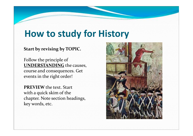### **How to study for History**

#### **Start by revising by TOPIC.**

Follow the principle of **UNDERSTANDING** the causes, course and consequences. Getevents in the right order!

**PREVIEW** the text. Start with a quick skim of the chapter. Note section headings,key words, etc.

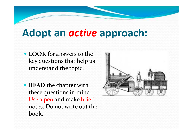# **Adopt an** *active* **approach:**

- **LOOK** for answers to the key questions that help us understand the topic.
- **READ** the chapter with these questions in mind. Use a pen and make brief notes. Do not write out the book.

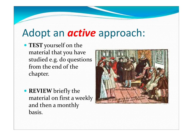# Adopt an *active* approach:

- **TEST** yourself on the material that you have studied e.g. do questions from the end of the chapter.
- **REVIEW** briefly the material on first a weekly and then a monthly basis.

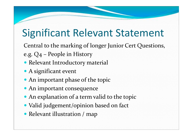# Significant Relevant Statement

Central to the marking of longer Junior Cert Questions,

- e.g. Q4 People in History
- Relevant Introductory material
- A significant event
- An important phase of the topic
- An important consequence
- An explanation of a term valid to the topic
- Valid judgement/opinion based on fact
- Relevant illustration / map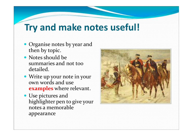### **Try and make notes useful!**

- Organise notes by year and then by topic.
- Notes should be summaries and not too detailed.
- Write up your note in your own words and use **examples** where relevant.
- Use pictures and highlighter pen to give your notes a memorable appearance

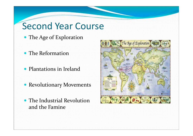#### Second Year Course

- The Age of Exploration
- The Reformation
- Plantations in Ireland
- Revolutionary Movements
- The Industrial Revolution and the Famine

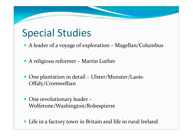# Special Studies

- A leader of a voyage of exploration Magellan/Columbus
- A religious reformer Martin Luther
- One plantation in detail Ulster/Munster/Laois-Offaly/Cromwellian
- One revolutionary leader Wolfetone/Washington/Robespierre
- Life in a factory town in Britain and life in rural Ireland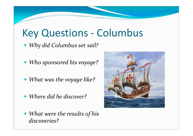# Key Questions - Columbus

*Why did Columbus set sail?* 

- *Who sponsored his voyage?*
- *What was the voyage like?*
- *Where did he discover?*
- *What were the results of his discoveries?*

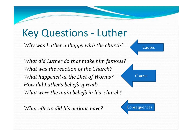# Key Questions - Luther

*Why was Luther unhappy with the church?*

*What did Luther do that make him famous?What was the reaction of the Church?What happened at the Diet of Worms?How did Luther's beliefs spread?What were the main beliefs in his church?*

*What effects did his actions have?* 



Course

**Consequences**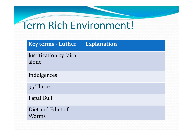# Term Rich Environment!

| <b>Key terms - Luther</b>         | <b>Explanation</b> |  |
|-----------------------------------|--------------------|--|
| Justification by faith<br>alone   |                    |  |
| Indulgences                       |                    |  |
| 95 Theses                         |                    |  |
| Papal Bull                        |                    |  |
| Diet and Edict of<br><b>Worms</b> |                    |  |
|                                   |                    |  |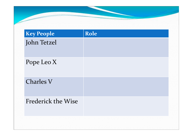| <b>Key People</b>         | Role |
|---------------------------|------|
| John Tetzel               |      |
| Pope Leo X                |      |
| <b>Charles V</b>          |      |
| <b>Frederick the Wise</b> |      |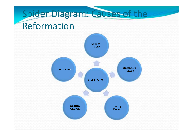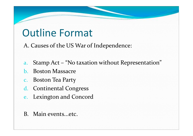# Outline Format

A. Causes of the US War of Independence:

- a.Stamp Act – "No taxation without Representation"
- b.Boston Massacre
- c. Boston Tea Party
- d. Continental Congress
- e. Lexington and Concord
- B. Main events...etc.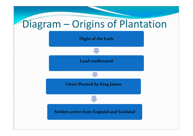